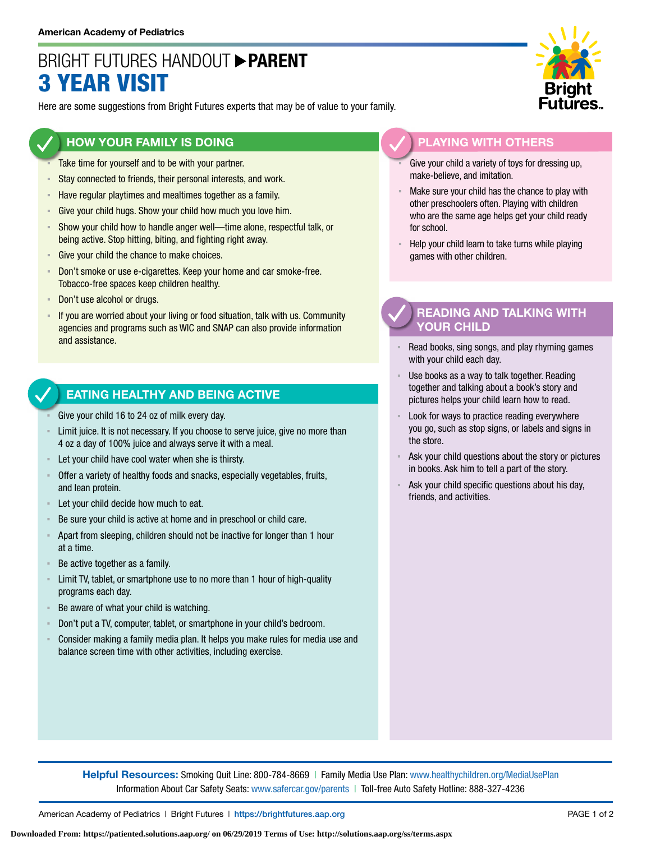# BRIGHT FUTURES HANDOUT **PARENT** 3 YEAR VISIT

Here are some suggestions from Bright Futures experts that may be of value to your family.

### **HOW YOUR FAMILY IS DOING**

- Take time for yourself and to be with your partner.
- **EXECT** Stay connected to friends, their personal interests, and work.
- **EXECTE Have regular playtimes and mealtimes together as a family.**
- **EXECT:** Give your child hugs. Show your child how much you love him.
- Show your child how to handle anger well—time alone, respectful talk, or being active. Stop hitting, biting, and fighting right away.
- Give your child the chance to make choices.
- **EXECT** Don't smoke or use e-cigarettes. Keep your home and car smoke-free. Tobacco-free spaces keep children healthy.
- Don't use alcohol or drugs.
- If you are worried about your living or food situation, talk with us. Community agencies and programs such as WIC and SNAP can also provide information and assistance.

#### **EATING HEALTHY AND BEING ACTIVE**

- Give your child 16 to 24 oz of milk every day.
- Limit juice. It is not necessary. If you choose to serve juice, give no more than 4 oz a day of 100% juice and always serve it with a meal.
- Let your child have cool water when she is thirsty.
- Offer a variety of healthy foods and snacks, especially vegetables, fruits, and lean protein.
- Let your child decide how much to eat.
- Be sure your child is active at home and in preschool or child care.
- Apart from sleeping, children should not be inactive for longer than 1 hour at a time.
- Be active together as a family.
- **EXECT** Limit TV, tablet, or smartphone use to no more than 1 hour of high-quality programs each day.
- Be aware of what your child is watching.
- Don't put a TV, computer, tablet, or smartphone in your child's bedroom.
- Consider making a family media plan. It helps you make rules for media use and balance screen time with other activities, including exercise.



# **PLAYING WITH OTHERS**

- Give your child a variety of toys for dressing up, make-believe, and imitation.
- Make sure your child has the chance to play with other preschoolers often. Playing with children who are the same age helps get your child ready for school.
- Help your child learn to take turns while playing games with other children.

# **READING AND TALKING WITH YOUR CHILD**

- Read books, sing songs, and play rhyming games with your child each day.
- Use books as a way to talk together. Reading together and talking about a book's story and pictures helps your child learn how to read.
- Look for ways to practice reading everywhere you go, such as stop signs, or labels and signs in the store.
- Ask your child questions about the story or pictures in books. Ask him to tell a part of the story.
- Ask your child specific questions about his day, friends, and activities.

**Helpful Resources:** Smoking Quit Line: 800-784-8669 | Family Media Use Plan: [www.healthychildren.org/MediaUsePlan](https://www.healthychildren.org/English/media/Pages/default.aspx) Information About Car Safety Seats: [www.safercar.gov/parents](https://www.nhtsa.gov/parents-and-caregivers) | Toll-free Auto Safety Hotline: 888-327-4236